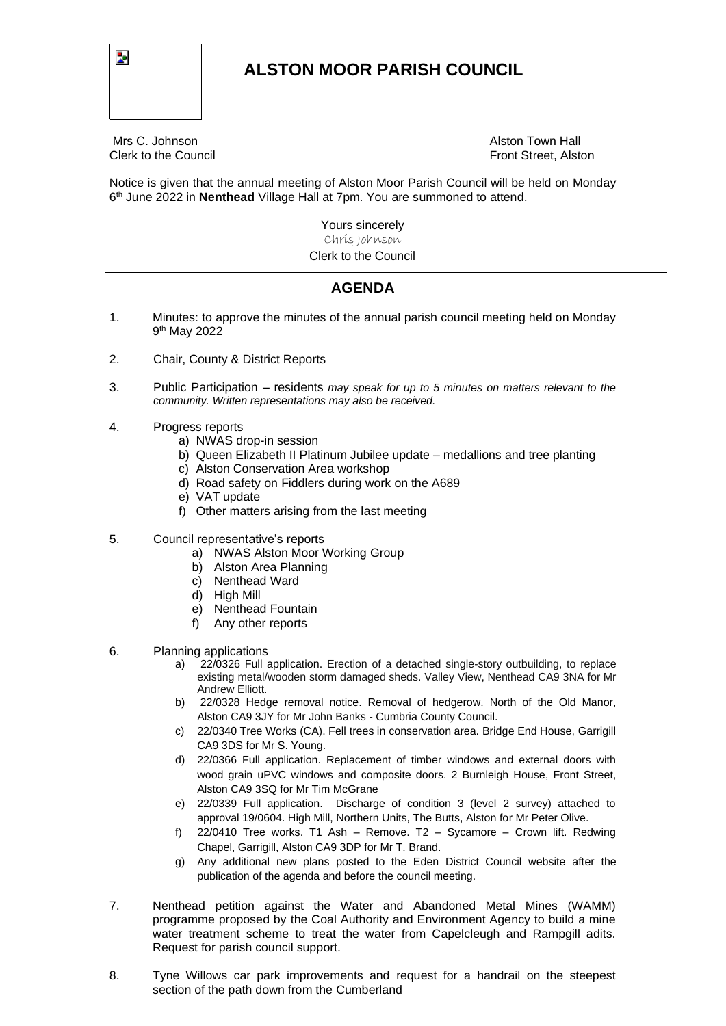

## **ALSTON MOOR PARISH COUNCIL**

Mrs C. Johnson Alston Town Hall

Clerk to the Council **Front Street, Alston** 

Notice is given that the annual meeting of Alston Moor Parish Council will be held on Monday 6 th June 2022 in **Nenthead** Village Hall at 7pm. You are summoned to attend.

> Yours sincerely Chris Johnson Clerk to the Council

## **AGENDA**

- 1. Minutes: to approve the minutes of the annual parish council meeting held on Monday 9<sup>th</sup> May 2022
- 2. Chair, County & District Reports
- 3. Public Participation residents *may speak for up to 5 minutes on matters relevant to the community. Written representations may also be received.*
- 4. Progress reports
	- a) NWAS drop-in session
	- b) Queen Elizabeth II Platinum Jubilee update medallions and tree planting
	- c) Alston Conservation Area workshop
	- d) Road safety on Fiddlers during work on the A689
	- e) VAT update
	- f) Other matters arising from the last meeting
- 5. Council representative's reports
	- a) NWAS Alston Moor Working Group
	- b) Alston Area Planning
	- c) Nenthead Ward
	- d) High Mill
	- e) Nenthead Fountain
	- f) Any other reports
- 6. Planning applications
	- a) 22/0326 Full application. Erection of a detached single-story outbuilding, to replace existing metal/wooden storm damaged sheds. Valley View, Nenthead CA9 3NA for Mr Andrew Elliott.
	- b) 22/0328 Hedge removal notice. Removal of hedgerow. North of the Old Manor, Alston CA9 3JY for Mr John Banks - Cumbria County Council.
	- c) 22/0340 Tree Works (CA). Fell trees in conservation area. Bridge End House, Garrigill CA9 3DS for Mr S. Young.
	- d) 22/0366 Full application. Replacement of timber windows and external doors with wood grain uPVC windows and composite doors. 2 Burnleigh House, Front Street, Alston CA9 3SQ for Mr Tim McGrane
	- e) 22/0339 Full application. Discharge of condition 3 (level 2 survey) attached to approval 19/0604. High Mill, Northern Units, The Butts, Alston for Mr Peter Olive.
	- f) 22/0410 Tree works. T1 Ash Remove. T2 Sycamore Crown lift. Redwing Chapel, Garrigill, Alston CA9 3DP for Mr T. Brand.
	- g) Any additional new plans posted to the Eden District Council website after the publication of the agenda and before the council meeting.
- 7. Nenthead petition against the Water and Abandoned Metal Mines (WAMM) programme proposed by the Coal Authority and Environment Agency to build a mine water treatment scheme to treat the water from Capelcleugh and Rampgill adits. Request for parish council support.
- 8. Tyne Willows car park improvements and request for a handrail on the steepest section of the path down from the Cumberland